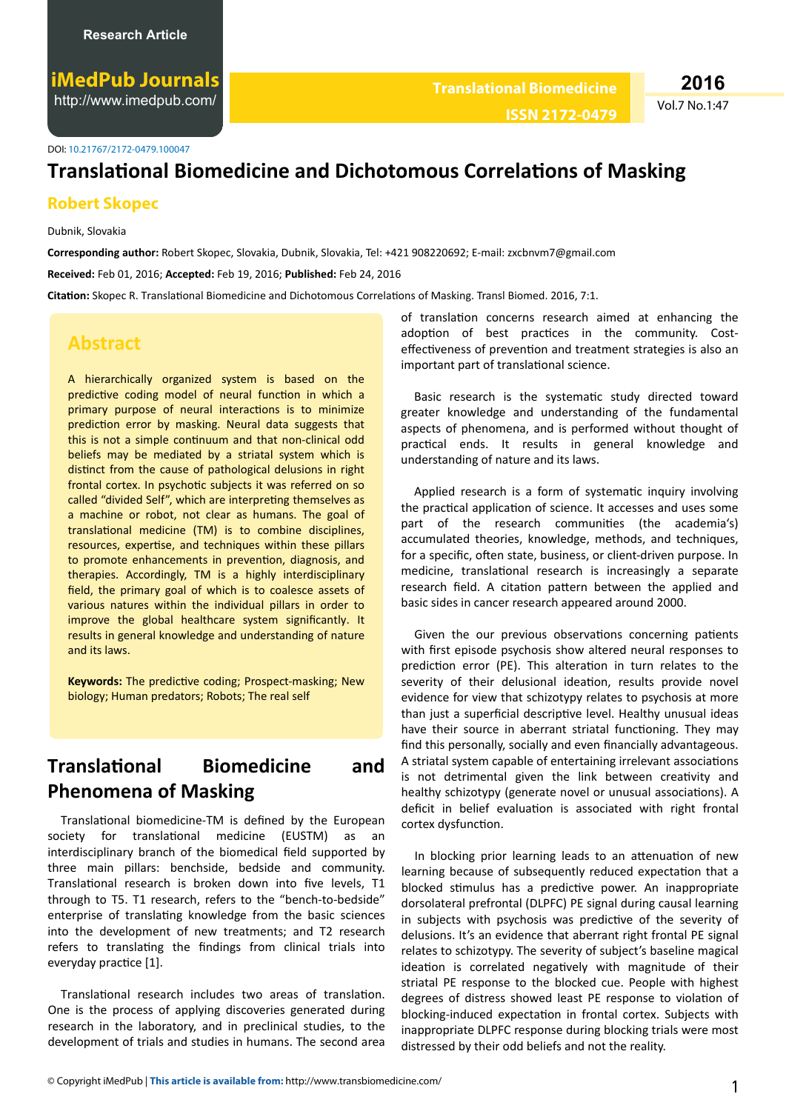**2016**

#### DOI: 10.21767/2172-0479.100047

## **Translational Biomedicine and Dichotomous Correlations of Masking**

#### **Robert Skopec**

Dubnik, Slovakia

**Corresponding author:** Robert Skopec, Slovakia, Dubnik, Slovakia, Tel: +421 908220692; E-mail: zxcbnvm7@gmail.com **Received:** Feb 01, 2016; **Accepted:** Feb 19, 2016; **Published:** Feb 24, 2016

**Citation:** Skopec R. Translational Biomedicine and Dichotomous Correlations of Masking. Transl Biomed. 2016, 7:1.

#### **Abstract**

A hierarchically organized system is based on the predictive coding model of neural function in which a primary purpose of neural interactions is to minimize prediction error by masking. Neural data suggests that this is not a simple continuum and that non-clinical odd beliefs may be mediated by a striatal system which is distinct from the cause of pathological delusions in right frontal cortex. In psychotic subjects it was referred on so called "divided Self", which are interpreting themselves as a machine or robot, not clear as humans. The goal of translational medicine (TM) is to combine disciplines, resources, expertise, and techniques within these pillars to promote enhancements in prevention, diagnosis, and therapies. Accordingly, TM is a highly interdisciplinary field, the primary goal of which is to coalesce assets of various natures within the individual pillars in order to improve the global healthcare system significantly. It results in general knowledge and understanding of nature and its laws.

Keywords: The predictive coding; Prospect-masking; New biology; Human predators; Robots; The real self

## **Translational Biomedicine and Phenomena of Masking**

Translational biomedicine-TM is defined by the European society for translational medicine (EUSTM) as an interdisciplinary branch of the biomedical field supported by three main pillars: benchside, bedside and community. Translational research is broken down into five levels, T1 through to T5. T1 research, refers to the "bench-to-bedside" enterprise of translating knowledge from the basic sciences into the development of new treatments; and T2 research refers to translating the findings from clinical trials into everyday practice [1].

Translational research includes two areas of translation. One is the process of applying discoveries generated during research in the laboratory, and in preclinical studies, to the development of trials and studies in humans. The second area of translation concerns research aimed at enhancing the adoption of best practices in the community. Costeffectiveness of prevention and treatment strategies is also an important part of translational science.

Basic research is the systematic study directed toward greater knowledge and understanding of the fundamental aspects of phenomena, and is performed without thought of practical ends. It results in general knowledge and understanding of nature and its laws.

Applied research is a form of systematic inquiry involving the practical application of science. It accesses and uses some part of the research communities (the academia's) accumulated theories, knowledge, methods, and techniques, for a specific, often state, business, or client-driven purpose. In medicine, translational research is increasingly a separate research field. A citation pattern between the applied and basic sides in cancer research appeared around 2000.

Given the our previous observations concerning patients with first episode psychosis show altered neural responses to prediction error (PE). This alteration in turn relates to the severity of their delusional ideation, results provide novel evidence for view that schizotypy relates to psychosis at more than just a superficial descriptive level. Healthy unusual ideas have their source in aberrant striatal functioning. They may find this personally, socially and even financially advantageous. A striatal system capable of entertaining irrelevant associations is not detrimental given the link between creativity and healthy schizotypy (generate novel or unusual associations). A deficit in belief evaluation is associated with right frontal cortex dysfunction.

In blocking prior learning leads to an attenuation of new learning because of subsequently reduced expectation that a blocked stimulus has a predictive power. An inappropriate dorsolateral prefrontal (DLPFC) PE signal during causal learning in subjects with psychosis was predictive of the severity of delusions. It's an evidence that aberrant right frontal PE signal relates to schizotypy. The severity of subject's baseline magical ideation is correlated negatively with magnitude of their striatal PE response to the blocked cue. People with highest degrees of distress showed least PE response to violation of blocking-induced expectation in frontal cortex. Subjects with inappropriate DLPFC response during blocking trials were most distressed by their odd beliefs and not the reality.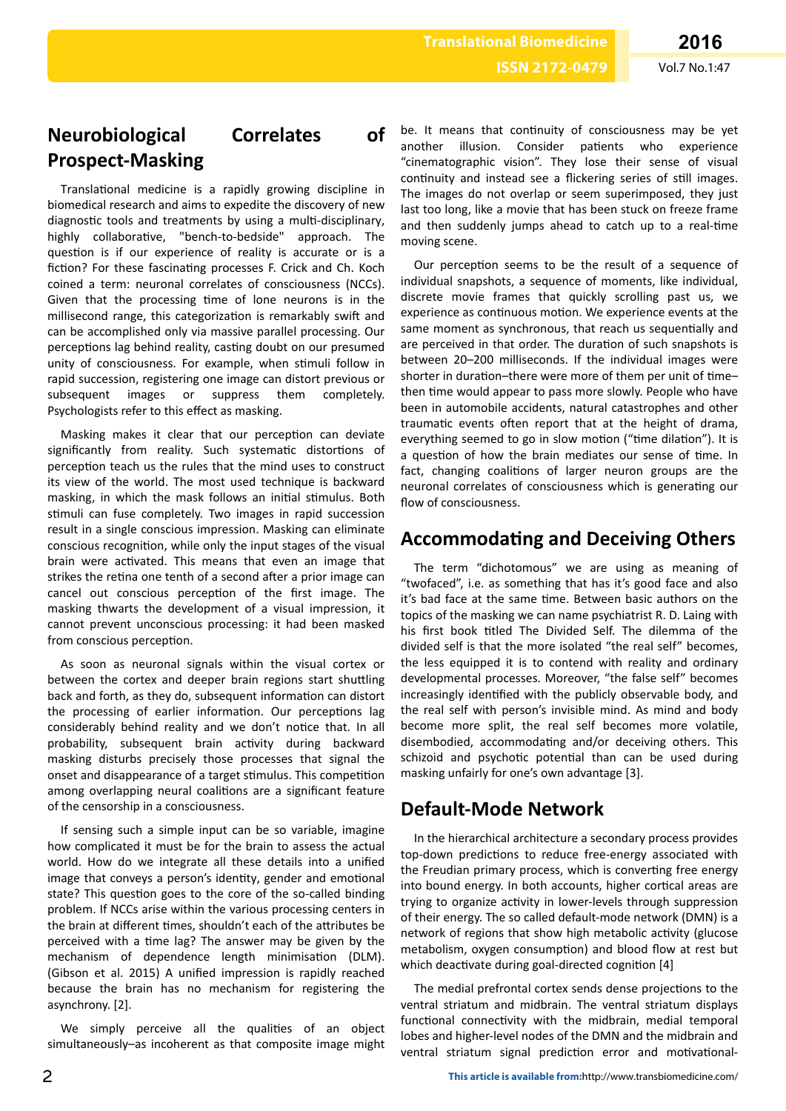# **Neurobiological Correlates of Prospect-Masking**

Translational medicine is a rapidly growing discipline in biomedical research and aims to expedite the discovery of new diagnostic tools and treatments by using a multi-disciplinary, highly collaborative, "bench-to-bedside" approach. The question is if our experience of reality is accurate or is a fiction? For these fascinating processes F. Crick and Ch. Koch coined a term: neuronal correlates of consciousness (NCCs). Given that the processing time of lone neurons is in the millisecond range, this categorization is remarkably swift and can be accomplished only via massive parallel processing. Our perceptions lag behind reality, casting doubt on our presumed unity of consciousness. For example, when stimuli follow in rapid succession, registering one image can distort previous or subsequent images or suppress them completely. Psychologists refer to this effect as masking.

Masking makes it clear that our perception can deviate significantly from reality. Such systematic distortions of perception teach us the rules that the mind uses to construct its view of the world. The most used technique is backward masking, in which the mask follows an initial stimulus. Both stimuli can fuse completely. Two images in rapid succession result in a single conscious impression. Masking can eliminate conscious recognition, while only the input stages of the visual brain were activated. This means that even an image that strikes the retina one tenth of a second after a prior image can cancel out conscious perception of the first image. The masking thwarts the development of a visual impression, it cannot prevent unconscious processing: it had been masked from conscious perception.

As soon as neuronal signals within the visual cortex or between the cortex and deeper brain regions start shuttling back and forth, as they do, subsequent information can distort the processing of earlier information. Our perceptions lag considerably behind reality and we don't notice that. In all probability, subsequent brain activity during backward masking disturbs precisely those processes that signal the onset and disappearance of a target stimulus. This competition among overlapping neural coalitions are a significant feature of the censorship in a consciousness.

If sensing such a simple input can be so variable, imagine how complicated it must be for the brain to assess the actual world. How do we integrate all these details into a unified image that conveys a person's identity, gender and emotional state? This question goes to the core of the so-called binding problem. If NCCs arise within the various processing centers in the brain at different times, shouldn't each of the attributes be perceived with a time lag? The answer may be given by the mechanism of dependence length minimisation (DLM). (Gibson et al. 2015) A unified impression is rapidly reached because the brain has no mechanism for registering the asynchrony. [2].

We simply perceive all the qualities of an object simultaneously–as incoherent as that composite image might be. It means that continuity of consciousness may be yet another illusion. Consider patients who experience "cinematographic vision". They lose their sense of visual continuity and instead see a flickering series of still images. The images do not overlap or seem superimposed, they just last too long, like a movie that has been stuck on freeze frame and then suddenly jumps ahead to catch up to a real-time moving scene.

Our perception seems to be the result of a sequence of individual snapshots, a sequence of moments, like individual, discrete movie frames that quickly scrolling past us, we experience as continuous motion. We experience events at the same moment as synchronous, that reach us sequentially and are perceived in that order. The duration of such snapshots is between 20–200 milliseconds. If the individual images were shorter in duration-there were more of them per unit of timethen time would appear to pass more slowly. People who have been in automobile accidents, natural catastrophes and other traumatic events often report that at the height of drama, everything seemed to go in slow motion ("time dilation"). It is a question of how the brain mediates our sense of time. In fact, changing coalitions of larger neuron groups are the neuronal correlates of consciousness which is generating our flow of consciousness.

### **Accommodating and Deceiving Others**

The term "dichotomous" we are using as meaning of "twofaced", i.e. as something that has it's good face and also it's bad face at the same time. Between basic authors on the topics of the masking we can name psychiatrist R. D. Laing with his first book titled The Divided Self. The dilemma of the divided self is that the more isolated "the real self" becomes, the less equipped it is to contend with reality and ordinary developmental processes. Moreover, "the false self" becomes increasingly identified with the publicly observable body, and the real self with person's invisible mind. As mind and body become more split, the real self becomes more volatile, disembodied, accommodating and/or deceiving others. This schizoid and psychotic potential than can be used during masking unfairly for one's own advantage [3].

### **Default-Mode Network**

In the hierarchical architecture a secondary process provides top-down predictions to reduce free-energy associated with the Freudian primary process, which is converting free energy into bound energy. In both accounts, higher cortical areas are trying to organize activity in lower-levels through suppression of their energy. The so called default-mode network (DMN) is a network of regions that show high metabolic activity (glucose metabolism, oxygen consumption) and blood flow at rest but which deactivate during goal-directed cognition [4]

The medial prefrontal cortex sends dense projections to the ventral striatum and midbrain. The ventral striatum displays functional connectivity with the midbrain, medial temporal lobes and higher-level nodes of the DMN and the midbrain and ventral striatum signal prediction error and motivational-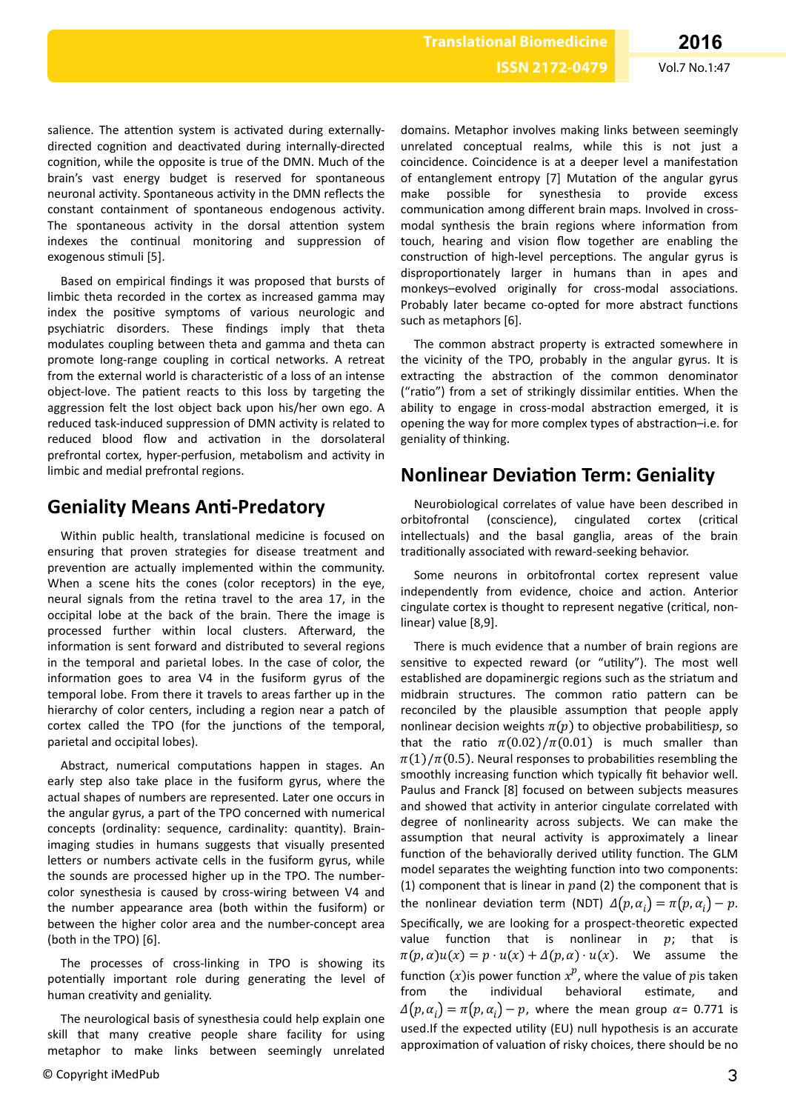salience. The attention system is activated during externallydirected cognition and deactivated during internally-directed cognition, while the opposite is true of the DMN. Much of the brain's vast energy budget is reserved for spontaneous neuronal activity. Spontaneous activity in the DMN reflects the constant containment of spontaneous endogenous activity. The spontaneous activity in the dorsal attention system indexes the continual monitoring and suppression of exogenous stimuli [5].

Based on empirical findings it was proposed that bursts of limbic theta recorded in the cortex as increased gamma may index the positive symptoms of various neurologic and psychiatric disorders. These findings imply that theta modulates coupling between theta and gamma and theta can promote long-range coupling in cortical networks. A retreat from the external world is characteristic of a loss of an intense object-love. The patient reacts to this loss by targeting the aggression felt the lost object back upon his/her own ego. A reduced task-induced suppression of DMN activity is related to reduced blood flow and activation in the dorsolateral prefrontal cortex, hyper-perfusion, metabolism and activity in limbic and medial prefrontal regions.

#### **Geniality Means Anti-Predatory**

Within public health, translational medicine is focused on ensuring that proven strategies for disease treatment and prevention are actually implemented within the community. When a scene hits the cones (color receptors) in the eye, neural signals from the retina travel to the area 17, in the occipital lobe at the back of the brain. There the image is processed further within local clusters. Afterward, the information is sent forward and distributed to several regions in the temporal and parietal lobes. In the case of color, the information goes to area V4 in the fusiform gyrus of the temporal lobe. From there it travels to areas farther up in the hierarchy of color centers, including a region near a patch of cortex called the TPO (for the junctions of the temporal, parietal and occipital lobes).

Abstract, numerical computations happen in stages. An early step also take place in the fusiform gyrus, where the actual shapes of numbers are represented. Later one occurs in the angular gyrus, a part of the TPO concerned with numerical concepts (ordinality: sequence, cardinality: quantity). Brainimaging studies in humans suggests that visually presented letters or numbers activate cells in the fusiform gyrus, while the sounds are processed higher up in the TPO. The numbercolor synesthesia is caused by cross-wiring between V4 and the number appearance area (both within the fusiform) or between the higher color area and the number-concept area (both in the TPO) [6].

The processes of cross-linking in TPO is showing its potentially important role during generating the level of human creativity and geniality.

The neurological basis of synesthesia could help explain one skill that many creative people share facility for using metaphor to make links between seemingly unrelated

domains. Metaphor involves making links between seemingly unrelated conceptual realms, while this is not just a coincidence. Coincidence is at a deeper level a manifestation of entanglement entropy [7] Mutation of the angular gyrus make possible for synesthesia to provide excess communication among different brain maps. Involved in crossmodal synthesis the brain regions where information from touch, hearing and vision flow together are enabling the construction of high-level perceptions. The angular gyrus is disproportionately larger in humans than in apes and monkeys-evolved originally for cross-modal associations. Probably later became co-opted for more abstract functions such as metaphors [6].

The common abstract property is extracted somewhere in the vicinity of the TPO, probably in the angular gyrus. It is extracting the abstraction of the common denominator ("ratio") from a set of strikingly dissimilar entities. When the ability to engage in cross-modal abstraction emerged, it is opening the way for more complex types of abstraction-i.e. for geniality of thinking.

#### **Nonlinear Deviation Term: Geniality**

Neurobiological correlates of value have been described in orbitofrontal (conscience), cingulated cortex (critical intellectuals) and the basal ganglia, areas of the brain traditionally associated with reward-seeking behavior.

Some neurons in orbitofrontal cortex represent value independently from evidence, choice and action. Anterior cingulate cortex is thought to represent negative (critical, nonlinear) value [8,9].

There is much evidence that a number of brain regions are sensitive to expected reward (or "utility"). The most well established are dopaminergic regions such as the striatum and midbrain structures. The common ratio pattern can be reconciled by the plausible assumption that people apply nonlinear decision weights  $\pi(p)$  to objective probabilities $p$ , so that the ratio  $\pi(0.02) / \pi(0.01)$  is much smaller than  $\pi(1)/\pi(0.5)$ . Neural responses to probabilities resembling the smoothly increasing function which typically fit behavior well. Paulus and Franck [8] focused on between subjects measures and showed that activity in anterior cingulate correlated with degree of nonlinearity across subjects. We can make the assumption that neural activity is approximately a linear function of the behaviorally derived utility function. The GLM model separates the weighting function into two components: (1) component that is linear in  $p$  and (2) the component that is the nonlinear deviation term (NDT)  $\Delta(p, \alpha_i) = \pi(p, \alpha_i) - p$ . Specifically, we are looking for a prospect-theoretic expected value function that is nonlinear in  $p$ ; that is  $\pi(p, \alpha)u(x) = p \cdot u(x) + \Delta(p, \alpha) \cdot u(x)$ . We assume the function  $(x)$ is power function  $x^p$ , where the value of  $p$ is taken  $p$  where the value of  $n$ is taken function  $(x)$  is power function  $x^p$ , where the value of pis taken<br>from the individual behavioral estimate. and from the individual behavioral  $\Delta(p, \alpha_i) = \pi(p, \alpha_i) - p$ , where the mean group  $\alpha = 0.771$  is used.If the expected utility (EU) null hypothesis is an accurate approximation of valuation of risky choices, there should be no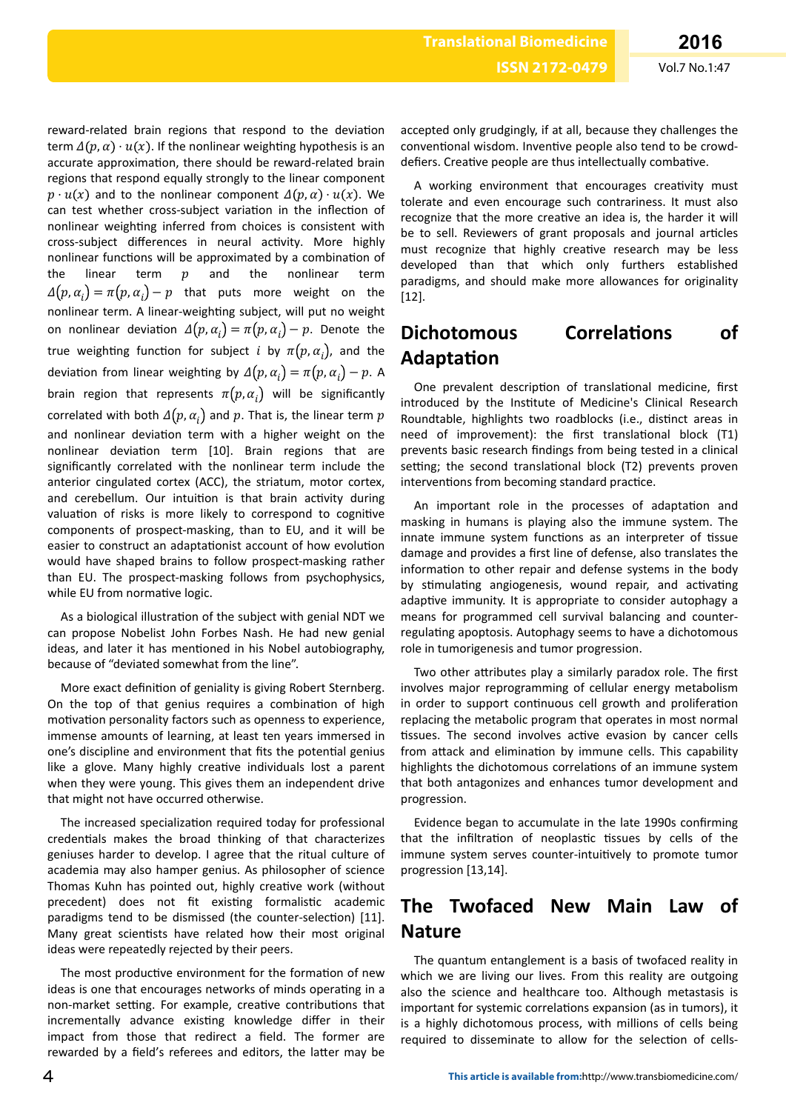defiers. Creative people are thus intellectually combative. A working environment that encourages creativity must tolerate and even encourage such contrariness. It must also recognize that the more creative an idea is, the harder it will be to sell. Reviewers of grant proposals and journal articles must recognize that highly creative research may be less developed than that which only furthers established paradigms, and should make more allowances for originality [12].

## **Dichotomous Correlations** of **Adaptation**

and p. That is, the linear term  $p$  Roundtable, highlights two roadblocks (i.e., distinct areas in One prevalent description of translational medicine, first introduced by the Institute of Medicine's Clinical Research need of improvement): the first translational block (T1) prevents basic research findings from being tested in a clinical setting; the second translational block (T2) prevents proven interventions from becoming standard practice.

An important role in the processes of adaptation and masking in humans is playing also the immune system. The innate immune system functions as an interpreter of tissue damage and provides a first line of defense, also translates the information to other repair and defense systems in the body by stimulating angiogenesis, wound repair, and activating adaptive immunity. It is appropriate to consider autophagy a means for programmed cell survival balancing and counterregulating apoptosis. Autophagy seems to have a dichotomous role in tumorigenesis and tumor progression.

Two other attributes play a similarly paradox role. The first involves major reprogramming of cellular energy metabolism in order to support continuous cell growth and proliferation replacing the metabolic program that operates in most normal tissues. The second involves active evasion by cancer cells from attack and elimination by immune cells. This capability highlights the dichotomous correlations of an immune system that both antagonizes and enhances tumor development and progression.

Evidence began to accumulate in the late 1990s confirming that the infiltration of neoplastic tissues by cells of the immune system serves counter-intuitively to promote tumor progression [13,14].

### **The Twofaced New Main Law of Nature**

The quantum entanglement is a basis of twofaced reality in which we are living our lives. From this reality are outgoing also the science and healthcare too. Although metastasis is important for systemic correlations expansion (as in tumors), it is a highly dichotomous process, with millions of cells being required to disseminate to allow for the selection of cells-

reward-related brain regions that respond to the deviation term  $\Delta(p, \alpha) \cdot u(x)$ . If the nonlinear weighting hypothesis is an accurate approximation, there should be reward-related brain regions that respond equally strongly to the linear component **Transferious Library 11**<br> **Example 16**<br> **Example 2016 Control intervention and the system of the deviation and the system of the system of the component nonlinear terms of the control intervention and the total interve** can test whether cross-subject variation in the inflection of nonlinear weighting inferred from choices is consistent with cross-subject differences in neural activity. More highly nonlinear functions will be approximated by a combination of the linear term  $p$  and the nonlinear term  $\Delta(p, \alpha_i) = \pi(p, \alpha_i) - p$  that puts more weight on the nonlinear term. A linear-weighting subject, will put no weight on nonlinear deviation  $\Delta(p, \alpha_i) = \pi(p, \alpha_i) - p$ . Denote the true weighting function for subject i by  $\pi(p, \alpha_i)$ , and the **Adaptation** deviation from linear weighting by  $\Delta(p, \alpha_i) = \pi(p, \alpha_i) - p$ . A brain region that represents  $\pi(p, \alpha_i)$  will be significantly<br>introduced by the Institute of Medicine's Clinical Research correlated with both  $\Delta(p,\alpha_{i})$  and  $p.$  That is, the linear term  $p-$  Roundtable, highlights two roadblocks (i.e., distinct areas in and nonlinear deviation term with a higher weight on the nonlinear deviation term [10]. Brain regions that are significantly correlated with the nonlinear term include the anterior cingulated cortex (ACC), the striatum, motor cortex, and cerebellum. Our intuition is that brain activity during valuation of risks is more likely to correspond to cognitive components of prospect-masking, than to EU, and it will be easier to construct an adaptationist account of how evolution would have shaped brains to follow prospect-masking rather than EU. The prospect-masking follows from psychophysics, while EU from normative logic.

As a biological illustration of the subject with genial NDT we can propose Nobelist John Forbes Nash. He had new genial ideas, and later it has mentioned in his Nobel autobiography, because of "deviated somewhat from the line".

More exact definition of geniality is giving Robert Sternberg. On the top of that genius requires a combination of high motivation personality factors such as openness to experience, immense amounts of learning, at least ten years immersed in one's discipline and environment that fits the potential genius like a glove. Many highly creative individuals lost a parent when they were young. This gives them an independent drive that might not have occurred otherwise.

The increased specialization required today for professional credentials makes the broad thinking of that characterizes geniuses harder to develop. I agree that the ritual culture of academia may also hamper genius. As philosopher of science Thomas Kuhn has pointed out, highly creative work (without precedent) does not fit existing formalistic academic paradigms tend to be dismissed (the counter-selection) [11]. Many great scientists have related how their most original ideas were repeatedly rejected by their peers.

The most productive environment for the formation of new ideas is one that encourages networks of minds operating in a non-market setting. For example, creative contributions that incrementally advance existing knowledge differ in their impact from those that redirect a field. The former are rewarded by a field's referees and editors, the latter may be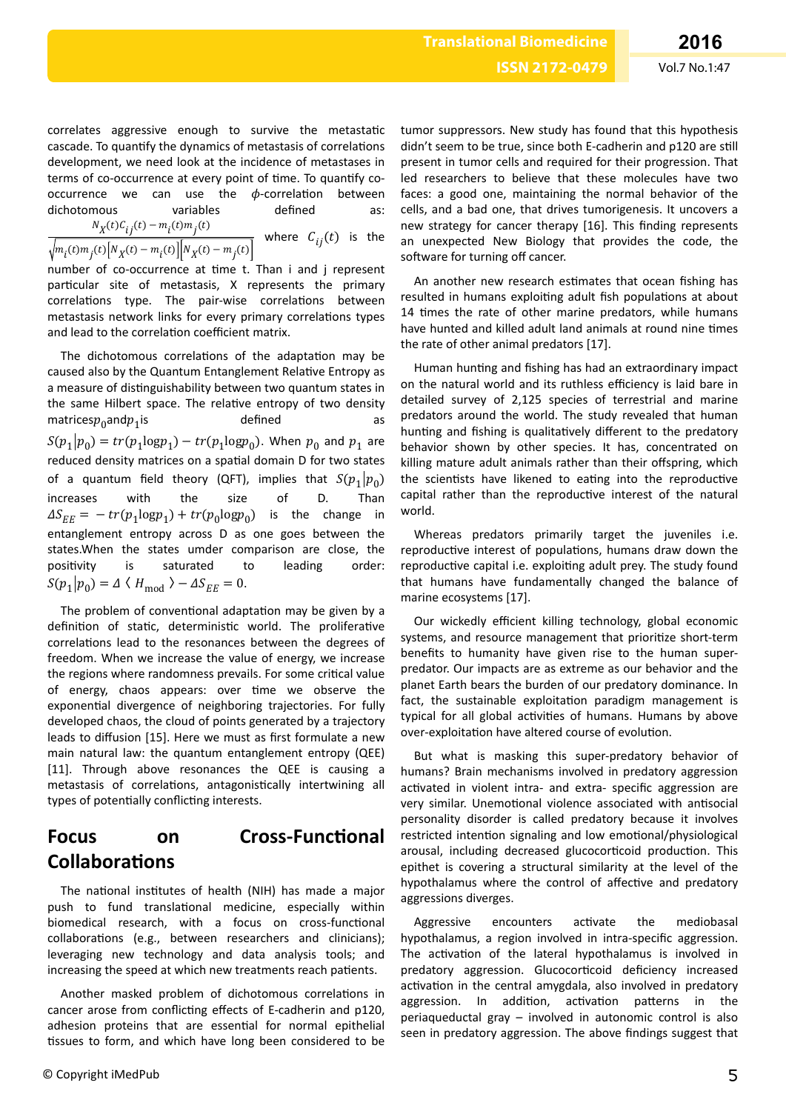correlates aggressive enough to survive the metastatic cascade. To quantify the dynamics of metastasis of correlations development, we need look at the incidence of metastases in terms of co-occurrence at every point of time. To quantify co $occurrence$  we can use the  $φ$ -correlation between dichotomous variables defined as: dichotomous variables defined as:

 $N_X(t)C_{ij}(t) - m_i(t)m_j(t)$  $m_i(t) m_j(t) [N_X(t) - m_i(t)] [N_X(t) - m_j(t)]$ where  $C_{ij}(t)$  is the

number of co-occurrence at time t. Than i and i represent particular site of metastasis. X represents the primary correlations type. The pair-wise correlations between metastasis network links for every primary correlations types and lead to the correlation coefficient matrix.

The dichotomous correlations of the adaptation may be caused also by the Quantum Entanglement Relative Entropy as a measure of distinguishability between two quantum states in the same Hilbert space. The relative entropy of two density matrices $p_{0}$ and $p_{1}^{\vphantom{\dagger}}$ defined as  $S(p_1|p_0) = tr(p_1\text{log}p_1) - tr(p_1\text{log}p_0)$ . When  $p_0$  and  $p_1$  are reduced density matrices on a spatial domain D for two states of a quantum field theory (QFT), implies that  $S(p_1|p_0)$ increases with the size of D. Than  $\Delta S_{EE} = -tr(p_1 \log p_1) + tr(p_0 \log p_0)$  is the change in entanglement entropy across D as one goes between the states.When the states umder comparison are close, the positivity is saturated to leading order:  $S(p_1|p_0) = \Delta \langle H_{\text{mod}} \rangle - \Delta S_{EE} = 0.$ 

The problem of conventional adaptation may be given by a definition of static, deterministic world. The proliferative correlations lead to the resonances between the degrees of freedom. When we increase the value of energy, we increase the regions where randomness prevails. For some critical value of energy, chaos appears: over time we observe the exponential divergence of neighboring trajectories. For fully developed chaos, the cloud of points generated by a trajectory leads to diffusion [15]. Here we must as first formulate a new main natural law: the quantum entanglement entropy (QEE) [11]. Through above resonances the QEE is causing a metastasis of correlations, antagonistically intertwining all types of potentially conflicting interests.

### **Focus** on *Cross-Functional* **Collaborations**

The national institutes of health (NIH) has made a major push to fund translational medicine, especially within biomedical research, with a focus on cross-functional collaborations (e.g., between researchers and clinicians); leveraging new technology and data analysis tools; and increasing the speed at which new treatments reach patients.

Another masked problem of dichotomous correlations in cancer arose from conflicting effects of E-cadherin and p120, adhesion proteins that are essential for normal epithelial tissues to form, and which have long been considered to be

tumor suppressors. New study has found that this hypothesis didn't seem to be true, since both E-cadherin and p120 are still present in tumor cells and required for their progression. That led researchers to believe that these molecules have two faces: a good one, maintaining the normal behavior of the cells, and a bad one, that drives tumorigenesis. It uncovers a new strategy for cancer therapy [16]. This finding represents an unexpected New Biology that provides the code, the software for turning off cancer.

An another new research estimates that ocean fishing has resulted in humans exploiting adult fish populations at about 14 times the rate of other marine predators, while humans have hunted and killed adult land animals at round nine times the rate of other animal predators [17].

Human hunting and fishing has had an extraordinary impact on the natural world and its ruthless efficiency is laid bare in detailed survey of 2,125 species of terrestrial and marine predators around the world. The study revealed that human hunting and fishing is qualitatively different to the predatory behavior shown by other species. It has, concentrated on killing mature adult animals rather than their offspring, which the scientists have likened to eating into the reproductive capital rather than the reproductive interest of the natural world.

Whereas predators primarily target the juveniles i.e. reproductive interest of populations, humans draw down the reproductive capital i.e. exploiting adult prey. The study found that humans have fundamentally changed the balance of marine ecosystems [17].

Our wickedly efficient killing technology, global economic systems, and resource management that prioritize short-term benefits to humanity have given rise to the human superpredator. Our impacts are as extreme as our behavior and the planet Earth bears the burden of our predatory dominance. In fact, the sustainable exploitation paradigm management is typical for all global activities of humans. Humans by above over-exploitation have altered course of evolution.

But what is masking this super-predatory behavior of humans? Brain mechanisms involved in predatory aggression activated in violent intra- and extra- specific aggression are very similar. Unemotional violence associated with antisocial personality disorder is called predatory because it involves restricted intention signaling and low emotional/physiological arousal, including decreased glucocorticoid production. This epithet is covering a structural similarity at the level of the hypothalamus where the control of affective and predatory aggressions diverges.

Aggressive encounters activate the mediobasal hypothalamus, a region involved in intra-specific aggression. The activation of the lateral hypothalamus is involved in predatory aggression. Glucocorticoid deficiency increased activation in the central amygdala, also involved in predatory aggression. In addition, activation patterns in the periaqueductal gray – involved in autonomic control is also seen in predatory aggression. The above findings suggest that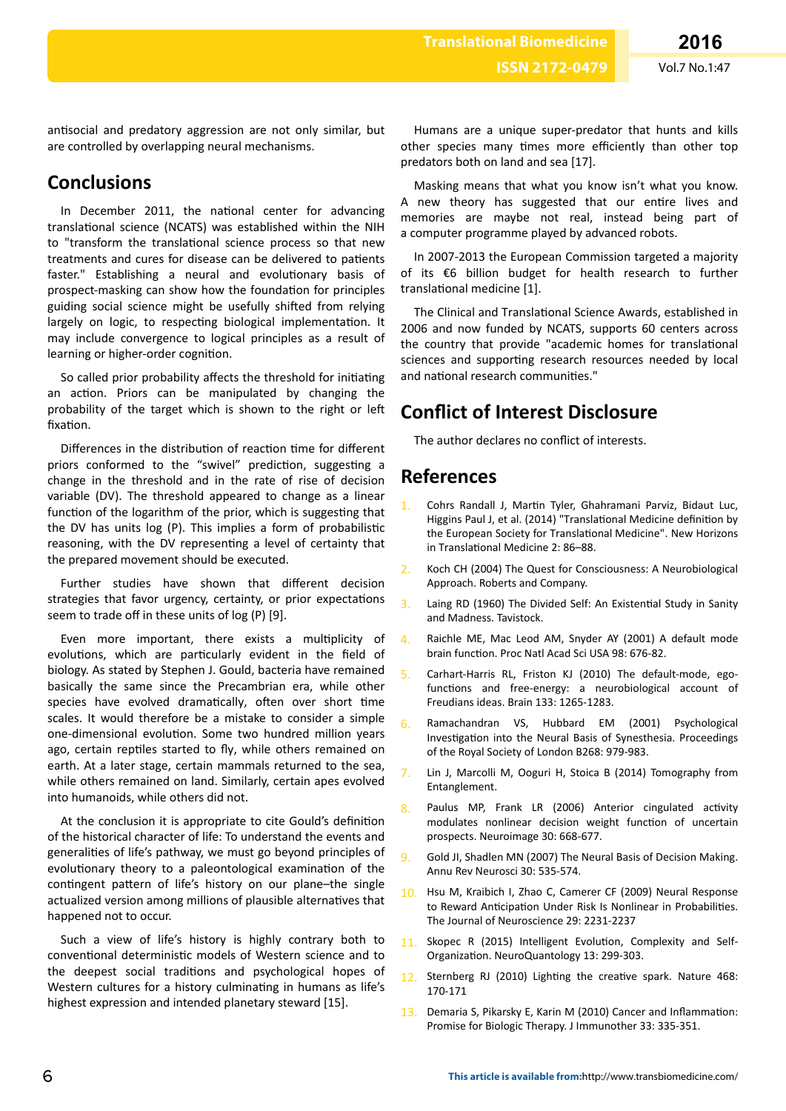antisocial and predatory aggression are not only similar, but are controlled by overlapping neural mechanisms.

### **Conclusions**

In December 2011, the national center for advancing translational science (NCATS) was established within the NIH to "transform the translational science process so that new treatments and cures for disease can be delivered to patients faster." Establishing a neural and evolutionary basis of prospect-masking can show how the foundation for principles guiding social science might be usefully shifted from relying largely on logic, to respecting biological implementation. It may include convergence to logical principles as a result of learning or higher-order cognition.

So called prior probability affects the threshold for initiating an action. Priors can be manipulated by changing the probability of the target which is shown to the right or left fixation.

Differences in the distribution of reaction time for different priors conformed to the "swivel" prediction, suggesting a change in the threshold and in the rate of rise of decision variable (DV). The threshold appeared to change as a linear function of the logarithm of the prior, which is suggesting that the DV has units log (P). This implies a form of probabilistic reasoning, with the DV representing a level of certainty that the prepared movement should be executed.

Further studies have shown that different decision strategies that favor urgency, certainty, or prior expectations seem to trade off in these units of  $log(P)$  [9].

Even more important, there exists a multiplicity of evolutions, which are particularly evident in the field of biology. As stated by Stephen J. Gould, bacteria have remained basically the same since the Precambrian era, while other species have evolved dramatically, often over short time scales. It would therefore be a mistake to consider a simple one-dimensional evolution. Some two hundred million years ago, certain reptiles started to fly, while others remained on earth. At a later stage, certain mammals returned to the sea, while others remained on land. Similarly, certain apes evolved into humanoids, while others did not.

At the conclusion it is appropriate to cite Gould's definition of the historical character of life: To understand the events and generalities of life's pathway, we must go beyond principles of evolutionary theory to a paleontological examination of the contingent pattern of life's history on our plane–the single actualized version among millions of plausible alternatives that happened not to occur.

Such a view of life's history is highly contrary both to conventional deterministic models of Western science and to the deepest social traditions and psychological hopes of Western cultures for a history culminating in humans as life's highest expression and intended planetary steward [15].

Humans are a unique super-predator that hunts and kills other species many times more efficiently than other top predators both on land and sea [17].

Masking means that what you know isn't what you know. A new theory has suggested that our entire lives and memories are maybe not real, instead being part of a computer programme played by advanced robots.

In 2007-2013 the European Commission targeted a majority of its €6 billion budget for health research to further translational medicine [1].

The Clinical and Translational Science Awards, established in 2006 and now funded by NCATS, supports 60 centers across the country that provide "academic homes for translational sciences and supporting research resources needed by local and national research communities."

### **Conflict of Interest Disclosure**

The author declares no conflict of interests.

#### **References**

- Cohrs Randall J, Martin Tyler, Ghahramani Parviz, Bidaut Luc, Higgins Paul J, et al. (2014) "Translational Medicine definition by [the European Society for](http://linkinghub.elsevier.com/retrieve/pii/S2307502314000782) Translational Medicine". New Horizons in Translational Medicine 2: 86–88.
- Koch CH (2004) The Quest for Consciousness: A Neurobiological Approach. Roberts and Company.
- $3.$  Laing RD (1960) The Divided Self: An Existential Study in Sanity and Madness. Tavistock.
- 4. Raichle ME, Mac Leod AM, Snyder AY (2001) A default mode brain function. Proc Natl Acad Sci USA 98: 676-82.
- Carhart-Harris RL, Friston KJ (2010) The default-mode, egofunctions and free-energy: a neurobiological account of Freudians ideas. Brain 133: 1265-1283.
- 6. Ramachandran VS, Hubbard EM (2001) Psychological Investigation into the Neural Basis of Synesthesia. Proceedings of the Royal Society of London B268: 979-983.
- 7. Lin J, Marcolli M, Ooguri H, Stoica B (2014) Tomography from Entanglement.
- 8. Paulus MP, Frank LR (2006) Anterior cingulated activity modulates nonlinear decision weight function of uncertain prospects. Neuroimage 30: 668-677.
- 9. Gold JI, Shadlen MN (2007) The Neural Basis of Decision Making. Annu Rev Neurosci 30: 535-574.
- 10. Hsu M, Kraibich I, Zhao C, Camerer CF (2009) Neural Response to Reward Anticipation Under Risk Is Nonlinear in Probabilities. The Journal of Neuroscience 29: 2231-2237
- 11. Skopec R (2015) Intelligent Evolution, Complexity and Self-Organization. NeuroQuantology 13: 299-303.
- 12. Sternberg RJ (2010) Lighting the creative spark. Nature 468: 170-171
- 13. Demaria S, Pikarsky E, Karin M (2010) Cancer and Inflammation: Promise for Biologic Therapy. J Immunother 33: 335-351.